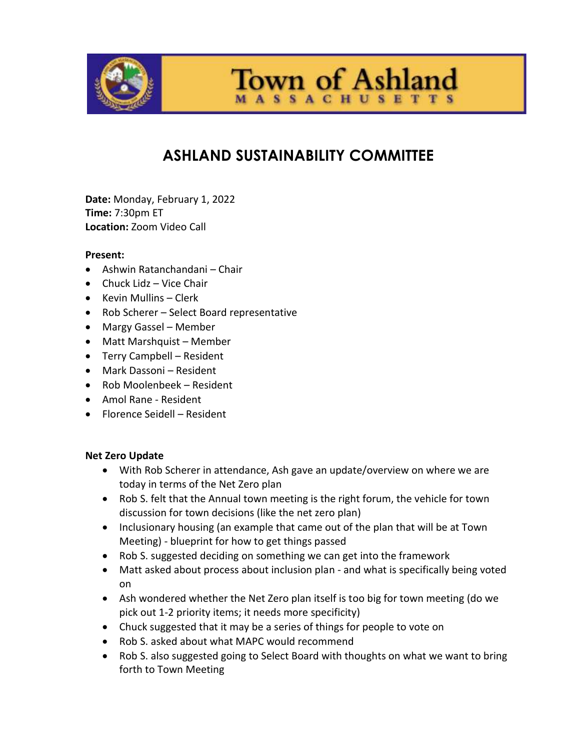

**Town of Ashland** 

# **ASHLAND SUSTAINABILITY COMMITTEE**

**Date:** Monday, February 1, 2022 **Time:** 7:30pm ET **Location:** Zoom Video Call

#### **Present:**

- Ashwin Ratanchandani Chair
- $\bullet$  Chuck Lidz Vice Chair
- Kevin Mullins Clerk
- Rob Scherer Select Board representative
- Margy Gassel Member
- Matt Marshquist Member
- Terry Campbell Resident
- Mark Dassoni Resident
- Rob Moolenbeek Resident
- Amol Rane Resident
- Florence Seidell Resident

#### **Net Zero Update**

- With Rob Scherer in attendance, Ash gave an update/overview on where we are today in terms of the Net Zero plan
- Rob S. felt that the Annual town meeting is the right forum, the vehicle for town discussion for town decisions (like the net zero plan)
- Inclusionary housing (an example that came out of the plan that will be at Town Meeting) - blueprint for how to get things passed
- Rob S. suggested deciding on something we can get into the framework
- Matt asked about process about inclusion plan and what is specifically being voted on
- Ash wondered whether the Net Zero plan itself is too big for town meeting (do we pick out 1-2 priority items; it needs more specificity)
- Chuck suggested that it may be a series of things for people to vote on
- Rob S. asked about what MAPC would recommend
- Rob S. also suggested going to Select Board with thoughts on what we want to bring forth to Town Meeting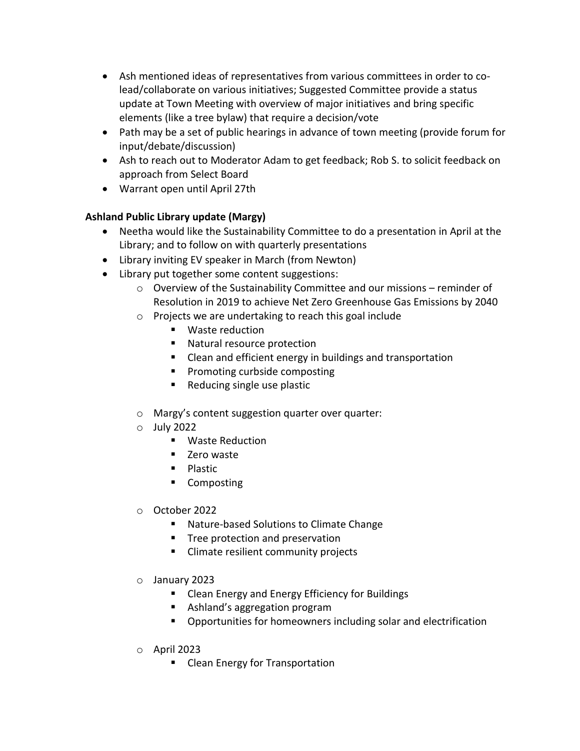- Ash mentioned ideas of representatives from various committees in order to colead/collaborate on various initiatives; Suggested Committee provide a status update at Town Meeting with overview of major initiatives and bring specific elements (like a tree bylaw) that require a decision/vote
- Path may be a set of public hearings in advance of town meeting (provide forum for input/debate/discussion)
- Ash to reach out to Moderator Adam to get feedback; Rob S. to solicit feedback on approach from Select Board
- Warrant open until April 27th

## **Ashland Public Library update (Margy)**

- Neetha would like the Sustainability Committee to do a presentation in April at the Library; and to follow on with quarterly presentations
- Library inviting EV speaker in March (from Newton)
- Library put together some content suggestions:
	- $\circ$  Overview of the Sustainability Committee and our missions reminder of Resolution in 2019 to achieve Net Zero Greenhouse Gas Emissions by 2040
	- o Projects we are undertaking to reach this goal include
		- **Waste reduction**
		- Natural resource protection
		- Clean and efficient energy in buildings and transportation
		- **Promoting curbside composting**
		- Reducing single use plastic
	- o Margy's content suggestion quarter over quarter:
	- o July 2022
		- **Naste Reduction**
		- Zero waste
		- **Plastic**
		- **EXECOMPOST**
	- o October 2022
		- Nature-based Solutions to Climate Change
		- **Tree protection and preservation**
		- **EXECLIME CLIMATE COMMUNITY PROJECTS**
	- o January 2023
		- **EXECLED Energy and Energy Efficiency for Buildings**
		- Ashland's aggregation program
		- Opportunities for homeowners including solar and electrification
	- o April 2023
		- **Clean Energy for Transportation**